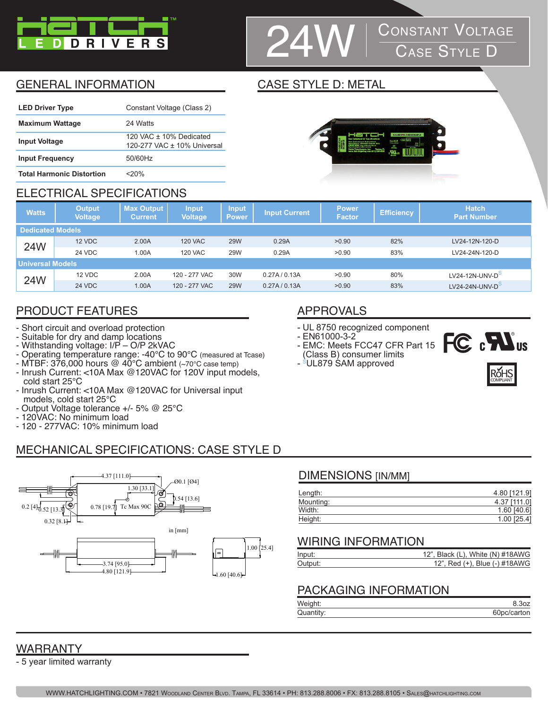

# **CONSTANT VOLTAGE**<br>CASE STYLE D

# **GENERAL INFORMATION**

|  | <b>CASE STYLE D: METAL</b> |  |
|--|----------------------------|--|
|  |                            |  |

| <b>LED Driver Type</b>           | Constant Voltage (Class 2)                               |
|----------------------------------|----------------------------------------------------------|
| <b>Maximum Wattage</b>           | 24 Watts                                                 |
| <b>Input Voltage</b>             | 120 VAC $+$ 10% Dedicated<br>120-277 VAC ± 10% Universal |
| <b>Input Frequency</b>           | 50/60Hz                                                  |
| <b>Total Harmonic Distortion</b> | $<$ 20%                                                  |

# ELECTRICAL SPECIFICATIONS

| <b>Watts</b>            | <b>Output</b><br><b>Voltage</b> | <b>Max Output</b><br><b>Current</b> | <b>Input</b><br><b>Voltage</b> | <b>Input</b><br><b>Power</b> | <b>Input Current</b> | <b>Power</b><br><b>Factor</b> | <b>Efficiency</b> | <b>Hatch</b><br><b>Part Number</b> |
|-------------------------|---------------------------------|-------------------------------------|--------------------------------|------------------------------|----------------------|-------------------------------|-------------------|------------------------------------|
| <b>Dedicated Models</b> |                                 |                                     |                                |                              |                      |                               |                   |                                    |
| 24W                     | 12 VDC                          | 2.00A                               | <b>120 VAC</b>                 | <b>29W</b>                   | 0.29A                | >0.90                         | 82%               | LV24-12N-120-D                     |
|                         | 24 VDC                          | 1.00A                               | <b>120 VAC</b>                 | <b>29W</b>                   | 0.29A                | >0.90                         | 83%               | LV24-24N-120-D                     |
| <b>Universal Models</b> |                                 |                                     |                                |                              |                      |                               |                   |                                    |
| <b>24W</b>              | 12 VDC                          | 2.00A                               | 120 - 277 VAC                  | 30W                          | 0.27A/0.13A          | >0.90                         | 80%               | $LV24-12N-UNV-Do$                  |
|                         | 24 VDC                          | 1.00A                               | 120 - 277 VAC                  | <b>29W</b>                   | 0.27A/0.13A          | >0.90                         | 83%               | LV24-24N-UNV-D                     |

# PRODUCT FEATURES APPROVALS

- Short circuit and overload protection
- Suitable for dry and damp locations
- Withstanding voltage: I/P O/P 2kVAC
- Operating temperature range: -40°C to 90°C (measured at Tcase)
- MTBF: 376,000 hours @ 40°C ambient (~70°C case temp) - Inrush Current: <10A Max @120VAC for 120V input models,
- cold start 25°C
- Inrush Current: <10A Max @120VAC for Universal input models, cold start 25°C
- Output Voltage tolerance +/- 5% @ 25°C
- 120VAC: No minimum load
- 120 277VAC: 10% minimum load

# MECHANICAL SPECIFICATIONS: CASE STYLE D



- UL 8750 recognized component
- EN61000-3-2
- EMC: Meets FCC47 CFR Part 15 (Class B) consumer limits
- **FC** cHU<sub>us</sub>
- <sup>s</sup>UL879 SAM approved



### DIMENSIONS [IN/MM]

| Length:   | 4.80 [121.9]  |
|-----------|---------------|
| Mounting: | 4.37 [111.0]  |
| Width:    | 1.60 [40.6]   |
| Height:   | $1.00$ [25.4] |

## WIRING INFORMATION

| Input:  | 12", Black (L), White (N) #18AWG |
|---------|----------------------------------|
| Output: | 12", Red (+), Blue (-) #18AWG    |

# PACKAGING INFORMATION

| Weight:   |             |
|-----------|-------------|
| Quantity: | 60pc/carton |

# WARRANTY

- 5 year limited warranty